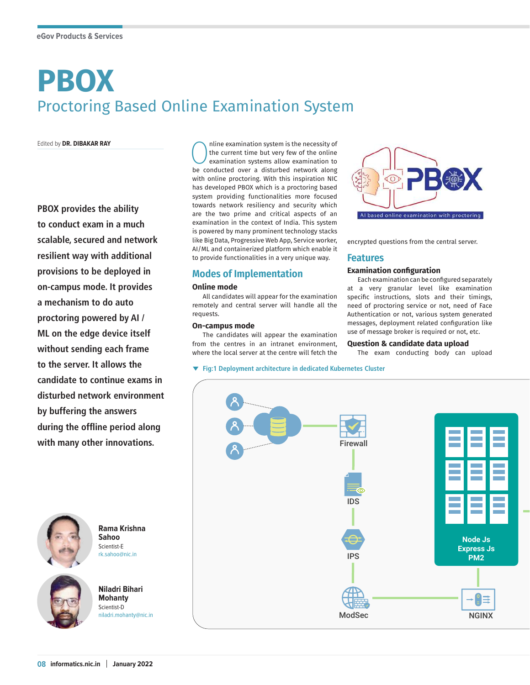# **PBOX** Proctoring Based Online Examination System

Edited by **DR. DIBAKAR RAY**

**PBOX provides the ability to conduct exam in a much scalable, secured and network resilient way with additional provisions to be deployed in on-campus mode. It provides a mechanism to do auto proctoring powered by AI / ML on the edge device itself without sending each frame to the server. It allows the candidate to continue exams in disturbed network environment by buffering the answers during the offline period along with many other innovations.**

The examination system is the necessity of<br>the current time but very few of the online<br>examination systems allow examination to<br>be conducted over a disturbed network along the current time but very few of the online examination systems allow examination to be conducted over a disturbed network along with online proctoring. With this inspiration NIC has developed PBOX which is a proctoring based system providing functionalities more focused towards network resiliency and security which are the two prime and critical aspects of an examination in the context of India. This system is powered by many prominent technology stacks like Big Data, Progressive Web App, Service worker, AI/ML and containerized platform which enable it to provide functionalities in a very unique way.

# **Modes of Implementation**

#### **Online mode**

All candidates will appear for the examination remotely and central server will handle all the requests.

#### **On-campus mode**

The candidates will appear the examination from the centres in an intranet environment, where the local server at the centre will fetch the

#### **Fig:1 Deployment architecture in dedicated Kubernetes Cluster**



encrypted questions from the central server.

#### **Features**

#### **Examination configuration**

Each examination can be configured separately at a very granular level like examination specific instructions, slots and their timings, need of proctoring service or not, need of Face Authentication or not, various system generated messages, deployment related configuration like use of message broker is required or not, etc.

#### **Question & candidate data upload**

The exam conducting body can upload





**Rama Krishna Sahoo** Scientist-E rk.sahoo@nic.in



**Niladri Bihari Mohanty** Scientist-D niladri.mohanty@nic.in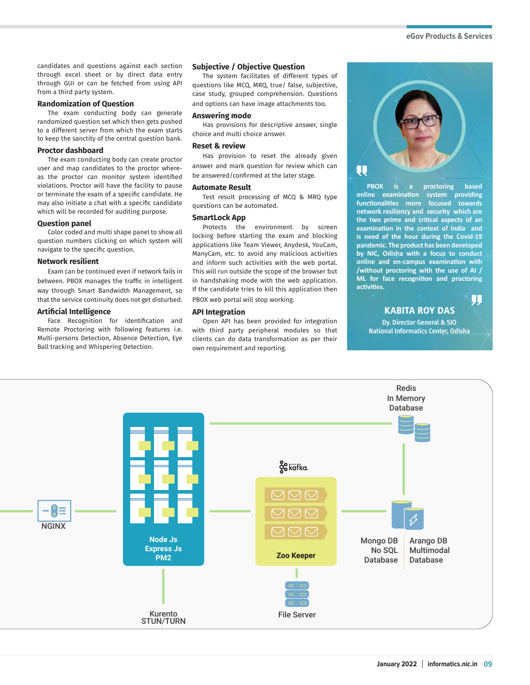candidates and questions against each section through excel sheet or by direct data entry through GUI or can be fetched from using API from a third party system.

#### **Randomization of Question**

The exam conducting body can generate randomized question set which then gets pushed to a different server from which the exam starts to keep the sanctity of the central question bank.

#### **Proctor dashboard**

The exam conducting body can create proctor user and map candidates to the proctor whereas the proctor can monitor system identified violations. Proctor will have the facility to pause or terminate the exam of a specific candidate. He may also initiate a chat with a specific candidate which will be recorded for auditing purpose.

#### **Question panel**

Color coded and multi shape panel to show all question numbers clicking on which system will navigate to the specific question.

#### **Network resilient**

Exam can be continued even if network fails in between. PBOX manages the traffic in intelligent way through Smart Bandwidth Management, so that the service continuity does not get disturbed.

#### **Artificial Intelligence**

Face Recognition for identification and Remote Proctoring with following features i.e. Multi-persons Detection, Absence Detection, Eye Ball tracking and Whispering Detection.

#### **Subjective / Objective Question**

The system facilitates of different types of questions like MCQ, MRQ, true/ false, subjective, case study, grouped comprehension. Questions and options can have image attachments too.

#### **Answering mode**

Has provisions for descriptive answer, single choice and multi choice answer.

#### **Reset & review**

Has provision to reset the already given answer and mark question for review which can be answered/confirmed at the later stage.

#### **Automate Result**

Test result processing of MCQ & MRQ type questions can be automated.

#### **SmartLock App**

Protects the environment by screen locking before starting the exam and blocking applications like Team Viewer, Anydesk, YouCam, ManyCam, etc. to avoid any malicious activities and inform such activities with the web portal. This will run outside the scope of the browser but in handshaking mode with the web application. If the candidate tries to kill this application then PBOX web portal will stop working.

#### **API Integration**

Open API has been provided for integration with third party peripheral modules so that clients can do data transformation as per their own requirement and reporting.



**PBOX is a proctoring based online examination system providing functionalities more focused towards network resiliency and security which are the two prime and critical aspects of an examination in the context of India and is need of the hour during the Covid-19 pandemic. The product has been developed by NIC, Odisha with a focus to conduct online and on-campus examination with /without proctoring with the use of AI / ML for face recognition and proctoring activities.**

# KABITA ROY DAS

JIJ

Dy. Director General & SIO National Informatics Center, Odisha